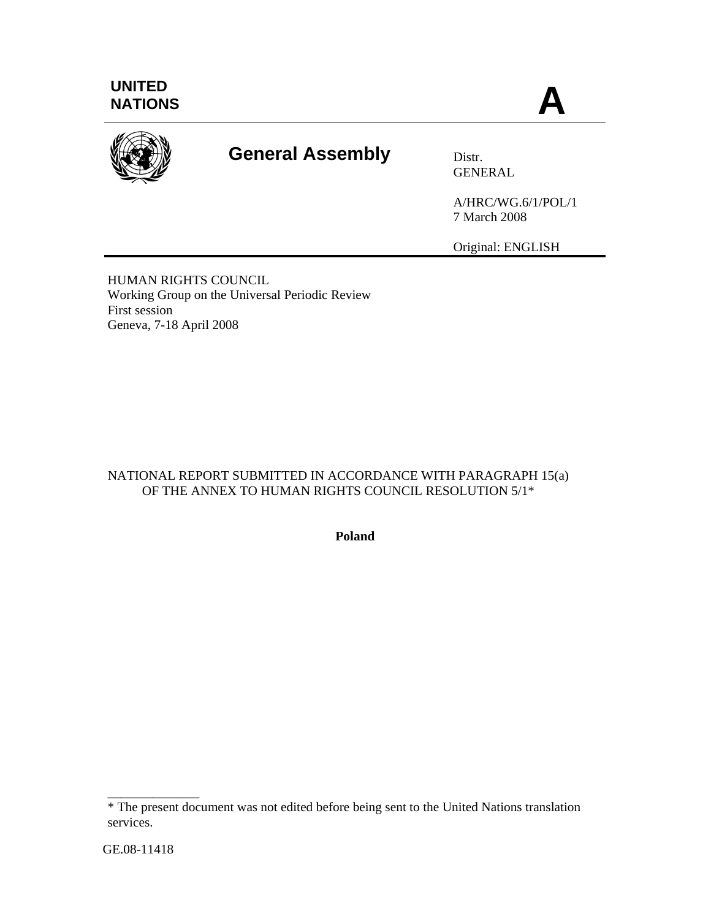# **General Assembly** Distr.

GENERAL

A/HRC/WG.6/1/POL/1 7 March 2008

Original: ENGLISH

HUMAN RIGHTS COUNCIL Working Group on the Universal Periodic Review First session Geneva, 7-18 April 2008

#### NATIONAL REPORT SUBMITTED IN ACCORDANCE WITH PARAGRAPH 15(a) OF THE ANNEX TO HUMAN RIGHTS COUNCIL RESOLUTION 5/1\*

**Poland** 

\_\_\_\_\_\_\_\_\_\_\_\_\_\_

<sup>\*</sup> The present document was not edited before being sent to the United Nations translation services.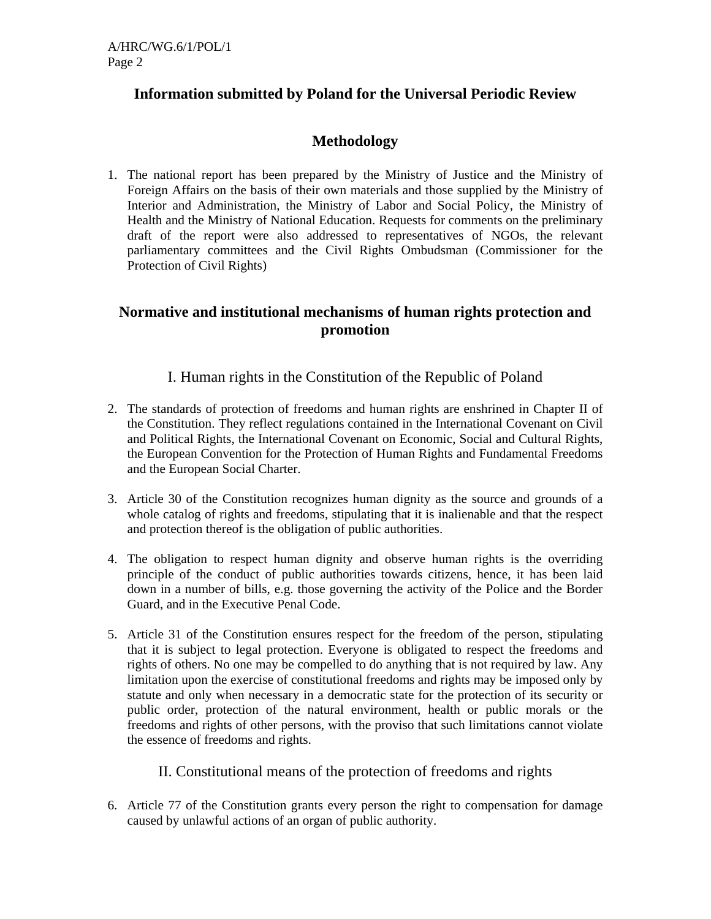# **Information submitted by Poland for the Universal Periodic Review**

# **Methodology**

1. The national report has been prepared by the Ministry of Justice and the Ministry of Foreign Affairs on the basis of their own materials and those supplied by the Ministry of Interior and Administration, the Ministry of Labor and Social Policy, the Ministry of Health and the Ministry of National Education. Requests for comments on the preliminary draft of the report were also addressed to representatives of NGOs, the relevant parliamentary committees and the Civil Rights Ombudsman (Commissioner for the Protection of Civil Rights)

# **Normative and institutional mechanisms of human rights protection and promotion**

- I. Human rights in the Constitution of the Republic of Poland
- 2. The standards of protection of freedoms and human rights are enshrined in Chapter II of the Constitution. They reflect regulations contained in the International Covenant on Civil and Political Rights, the International Covenant on Economic, Social and Cultural Rights, the European Convention for the Protection of Human Rights and Fundamental Freedoms and the European Social Charter.
- 3. Article 30 of the Constitution recognizes human dignity as the source and grounds of a whole catalog of rights and freedoms, stipulating that it is inalienable and that the respect and protection thereof is the obligation of public authorities.
- 4. The obligation to respect human dignity and observe human rights is the overriding principle of the conduct of public authorities towards citizens, hence, it has been laid down in a number of bills, e.g. those governing the activity of the Police and the Border Guard, and in the Executive Penal Code.
- 5. Article 31 of the Constitution ensures respect for the freedom of the person, stipulating that it is subject to legal protection. Everyone is obligated to respect the freedoms and rights of others. No one may be compelled to do anything that is not required by law. Any limitation upon the exercise of constitutional freedoms and rights may be imposed only by statute and only when necessary in a democratic state for the protection of its security or public order, protection of the natural environment, health or public morals or the freedoms and rights of other persons, with the proviso that such limitations cannot violate the essence of freedoms and rights.

## II. Constitutional means of the protection of freedoms and rights

6. Article 77 of the Constitution grants every person the right to compensation for damage caused by unlawful actions of an organ of public authority.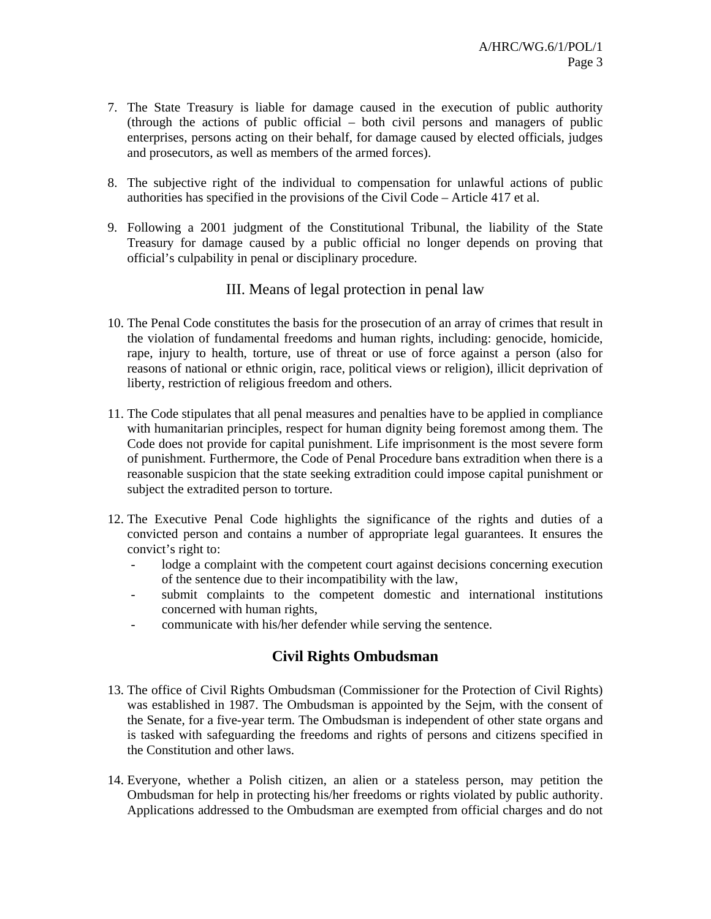- 7. The State Treasury is liable for damage caused in the execution of public authority (through the actions of public official – both civil persons and managers of public enterprises, persons acting on their behalf, for damage caused by elected officials, judges and prosecutors, as well as members of the armed forces).
- 8. The subjective right of the individual to compensation for unlawful actions of public authorities has specified in the provisions of the Civil Code – Article 417 et al.
- 9. Following a 2001 judgment of the Constitutional Tribunal, the liability of the State Treasury for damage caused by a public official no longer depends on proving that official's culpability in penal or disciplinary procedure.

## III. Means of legal protection in penal law

- 10. The Penal Code constitutes the basis for the prosecution of an array of crimes that result in the violation of fundamental freedoms and human rights, including: genocide, homicide, rape, injury to health, torture, use of threat or use of force against a person (also for reasons of national or ethnic origin, race, political views or religion), illicit deprivation of liberty, restriction of religious freedom and others.
- 11. The Code stipulates that all penal measures and penalties have to be applied in compliance with humanitarian principles, respect for human dignity being foremost among them. The Code does not provide for capital punishment. Life imprisonment is the most severe form of punishment. Furthermore, the Code of Penal Procedure bans extradition when there is a reasonable suspicion that the state seeking extradition could impose capital punishment or subject the extradited person to torture.
- 12. The Executive Penal Code highlights the significance of the rights and duties of a convicted person and contains a number of appropriate legal guarantees. It ensures the convict's right to:
	- lodge a complaint with the competent court against decisions concerning execution of the sentence due to their incompatibility with the law,
	- submit complaints to the competent domestic and international institutions concerned with human rights,
	- communicate with his/her defender while serving the sentence.

# **Civil Rights Ombudsman**

- 13. The office of Civil Rights Ombudsman (Commissioner for the Protection of Civil Rights) was established in 1987. The Ombudsman is appointed by the Sejm, with the consent of the Senate, for a five-year term. The Ombudsman is independent of other state organs and is tasked with safeguarding the freedoms and rights of persons and citizens specified in the Constitution and other laws.
- 14. Everyone, whether a Polish citizen, an alien or a stateless person, may petition the Ombudsman for help in protecting his/her freedoms or rights violated by public authority. Applications addressed to the Ombudsman are exempted from official charges and do not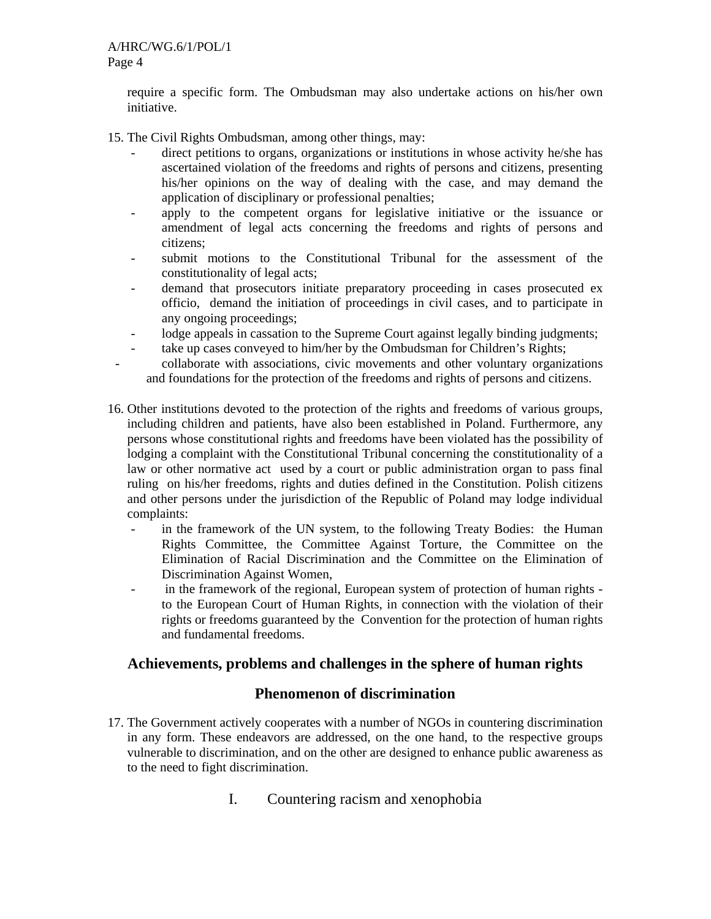require a specific form. The Ombudsman may also undertake actions on his/her own initiative.

- 15. The Civil Rights Ombudsman, among other things, may:
	- direct petitions to organs, organizations or institutions in whose activity he/she has ascertained violation of the freedoms and rights of persons and citizens, presenting his/her opinions on the way of dealing with the case, and may demand the application of disciplinary or professional penalties;
	- apply to the competent organs for legislative initiative or the issuance or amendment of legal acts concerning the freedoms and rights of persons and citizens;
	- submit motions to the Constitutional Tribunal for the assessment of the constitutionality of legal acts;
	- demand that prosecutors initiate preparatory proceeding in cases prosecuted ex officio, demand the initiation of proceedings in civil cases, and to participate in any ongoing proceedings;
	- lodge appeals in cassation to the Supreme Court against legally binding judgments;
	- take up cases conveyed to him/her by the Ombudsman for Children's Rights;
	- collaborate with associations, civic movements and other voluntary organizations and foundations for the protection of the freedoms and rights of persons and citizens.
- 16. Other institutions devoted to the protection of the rights and freedoms of various groups, including children and patients, have also been established in Poland. Furthermore, any persons whose constitutional rights and freedoms have been violated has the possibility of lodging a complaint with the Constitutional Tribunal concerning the constitutionality of a law or other normative act used by a court or public administration organ to pass final ruling on his/her freedoms, rights and duties defined in the Constitution. Polish citizens and other persons under the jurisdiction of the Republic of Poland may lodge individual complaints:
	- in the framework of the UN system, to the following Treaty Bodies: the Human Rights Committee, the Committee Against Torture, the Committee on the Elimination of Racial Discrimination and the Committee on the Elimination of Discrimination Against Women,
	- in the framework of the regional, European system of protection of human rights to the European Court of Human Rights, in connection with the violation of their rights or freedoms guaranteed by the Convention for the protection of human rights and fundamental freedoms.

## **Achievements, problems and challenges in the sphere of human rights**

#### **Phenomenon of discrimination**

- 17. The Government actively cooperates with a number of NGOs in countering discrimination in any form. These endeavors are addressed, on the one hand, to the respective groups vulnerable to discrimination, and on the other are designed to enhance public awareness as to the need to fight discrimination.
	- I. Countering racism and xenophobia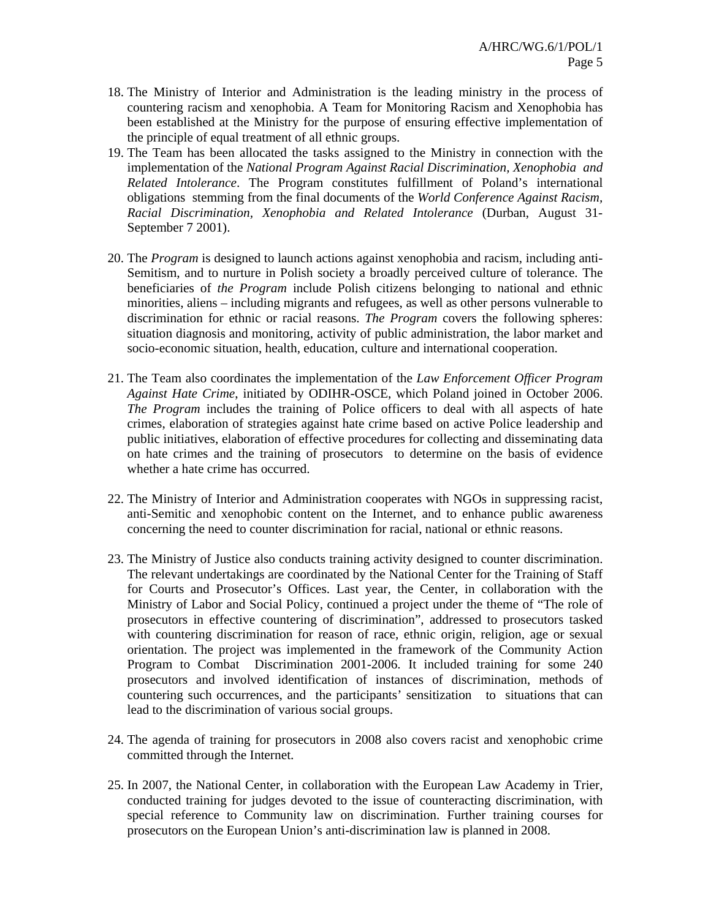- 18. The Ministry of Interior and Administration is the leading ministry in the process of countering racism and xenophobia. A Team for Monitoring Racism and Xenophobia has been established at the Ministry for the purpose of ensuring effective implementation of the principle of equal treatment of all ethnic groups.
- 19. The Team has been allocated the tasks assigned to the Ministry in connection with the implementation of the *National Program Against Racial Discrimination, Xenophobia and Related Intolerance*. The Program constitutes fulfillment of Poland's international obligations stemming from the final documents of the *World Conference Against Racism, Racial Discrimination, Xenophobia and Related Intolerance* (Durban, August 31- September 7 2001).
- 20. The *Program* is designed to launch actions against xenophobia and racism, including anti-Semitism, and to nurture in Polish society a broadly perceived culture of tolerance. The beneficiaries of *the Program* include Polish citizens belonging to national and ethnic minorities, aliens – including migrants and refugees, as well as other persons vulnerable to discrimination for ethnic or racial reasons. *The Program* covers the following spheres: situation diagnosis and monitoring, activity of public administration, the labor market and socio-economic situation, health, education, culture and international cooperation.
- 21. The Team also coordinates the implementation of the *Law Enforcement Officer Program Against Hate Crime*, initiated by ODIHR-OSCE, which Poland joined in October 2006. *The Program* includes the training of Police officers to deal with all aspects of hate crimes, elaboration of strategies against hate crime based on active Police leadership and public initiatives, elaboration of effective procedures for collecting and disseminating data on hate crimes and the training of prosecutors to determine on the basis of evidence whether a hate crime has occurred.
- 22. The Ministry of Interior and Administration cooperates with NGOs in suppressing racist, anti-Semitic and xenophobic content on the Internet, and to enhance public awareness concerning the need to counter discrimination for racial, national or ethnic reasons.
- 23. The Ministry of Justice also conducts training activity designed to counter discrimination. The relevant undertakings are coordinated by the National Center for the Training of Staff for Courts and Prosecutor's Offices. Last year, the Center, in collaboration with the Ministry of Labor and Social Policy, continued a project under the theme of "The role of prosecutors in effective countering of discrimination", addressed to prosecutors tasked with countering discrimination for reason of race, ethnic origin, religion, age or sexual orientation. The project was implemented in the framework of the Community Action Program to Combat Discrimination 2001-2006. It included training for some 240 prosecutors and involved identification of instances of discrimination, methods of countering such occurrences, and the participants' sensitization to situations that can lead to the discrimination of various social groups.
- 24. The agenda of training for prosecutors in 2008 also covers racist and xenophobic crime committed through the Internet.
- 25. In 2007, the National Center, in collaboration with the European Law Academy in Trier, conducted training for judges devoted to the issue of counteracting discrimination, with special reference to Community law on discrimination. Further training courses for prosecutors on the European Union's anti-discrimination law is planned in 2008.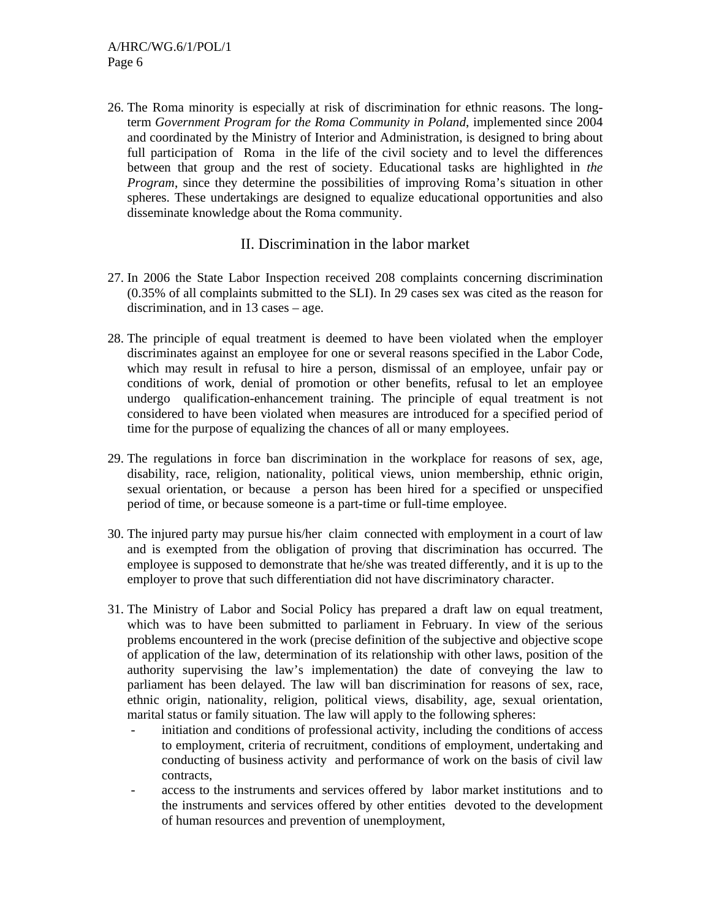26. The Roma minority is especially at risk of discrimination for ethnic reasons. The longterm *Government Program for the Roma Community in Poland*, implemented since 2004 and coordinated by the Ministry of Interior and Administration, is designed to bring about full participation of Roma in the life of the civil society and to level the differences between that group and the rest of society. Educational tasks are highlighted in *the Program*, since they determine the possibilities of improving Roma's situation in other spheres. These undertakings are designed to equalize educational opportunities and also disseminate knowledge about the Roma community.

## II. Discrimination in the labor market

- 27. In 2006 the State Labor Inspection received 208 complaints concerning discrimination (0.35% of all complaints submitted to the SLI). In 29 cases sex was cited as the reason for discrimination, and in 13 cases – age.
- 28. The principle of equal treatment is deemed to have been violated when the employer discriminates against an employee for one or several reasons specified in the Labor Code, which may result in refusal to hire a person, dismissal of an employee, unfair pay or conditions of work, denial of promotion or other benefits, refusal to let an employee undergo qualification-enhancement training. The principle of equal treatment is not considered to have been violated when measures are introduced for a specified period of time for the purpose of equalizing the chances of all or many employees.
- 29. The regulations in force ban discrimination in the workplace for reasons of sex, age, disability, race, religion, nationality, political views, union membership, ethnic origin, sexual orientation, or because a person has been hired for a specified or unspecified period of time, or because someone is a part-time or full-time employee.
- 30. The injured party may pursue his/her claim connected with employment in a court of law and is exempted from the obligation of proving that discrimination has occurred. The employee is supposed to demonstrate that he/she was treated differently, and it is up to the employer to prove that such differentiation did not have discriminatory character.
- 31. The Ministry of Labor and Social Policy has prepared a draft law on equal treatment, which was to have been submitted to parliament in February. In view of the serious problems encountered in the work (precise definition of the subjective and objective scope of application of the law, determination of its relationship with other laws, position of the authority supervising the law's implementation) the date of conveying the law to parliament has been delayed. The law will ban discrimination for reasons of sex, race, ethnic origin, nationality, religion, political views, disability, age, sexual orientation, marital status or family situation. The law will apply to the following spheres:
	- initiation and conditions of professional activity, including the conditions of access to employment, criteria of recruitment, conditions of employment, undertaking and conducting of business activity and performance of work on the basis of civil law contracts,
	- access to the instruments and services offered by labor market institutions and to the instruments and services offered by other entities devoted to the development of human resources and prevention of unemployment,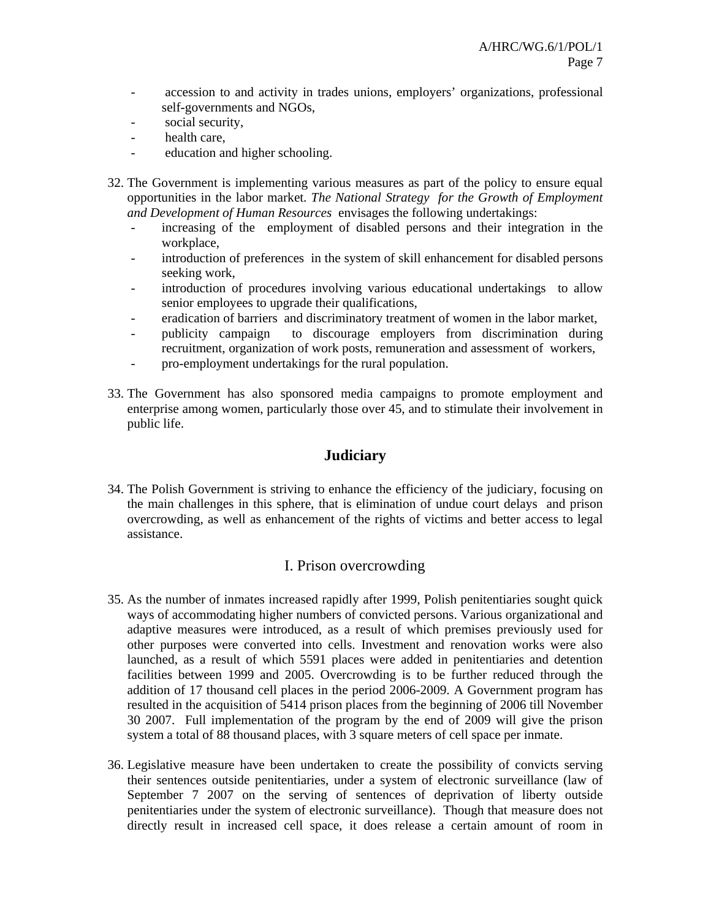- accession to and activity in trades unions, employers' organizations, professional self-governments and NGOs,
- social security,
- health care,
- education and higher schooling.
- 32. The Government is implementing various measures as part of the policy to ensure equal opportunities in the labor market. *The National Strategy for the Growth of Employment and Development of Human Resources* envisages the following undertakings:
	- increasing of the employment of disabled persons and their integration in the workplace,
	- introduction of preferences in the system of skill enhancement for disabled persons seeking work,
	- introduction of procedures involving various educational undertakings to allow senior employees to upgrade their qualifications,
	- eradication of barriers and discriminatory treatment of women in the labor market,
	- publicity campaign to discourage employers from discrimination during recruitment, organization of work posts, remuneration and assessment of workers,
	- pro-employment undertakings for the rural population.
- 33. The Government has also sponsored media campaigns to promote employment and enterprise among women, particularly those over 45, and to stimulate their involvement in public life.

## **Judiciary**

34. The Polish Government is striving to enhance the efficiency of the judiciary, focusing on the main challenges in this sphere, that is elimination of undue court delays and prison overcrowding, as well as enhancement of the rights of victims and better access to legal assistance.

## I. Prison overcrowding

- 35. As the number of inmates increased rapidly after 1999, Polish penitentiaries sought quick ways of accommodating higher numbers of convicted persons. Various organizational and adaptive measures were introduced, as a result of which premises previously used for other purposes were converted into cells. Investment and renovation works were also launched, as a result of which 5591 places were added in penitentiaries and detention facilities between 1999 and 2005. Overcrowding is to be further reduced through the addition of 17 thousand cell places in the period 2006-2009. A Government program has resulted in the acquisition of 5414 prison places from the beginning of 2006 till November 30 2007. Full implementation of the program by the end of 2009 will give the prison system a total of 88 thousand places, with 3 square meters of cell space per inmate.
- 36. Legislative measure have been undertaken to create the possibility of convicts serving their sentences outside penitentiaries, under a system of electronic surveillance (law of September 7 2007 on the serving of sentences of deprivation of liberty outside penitentiaries under the system of electronic surveillance). Though that measure does not directly result in increased cell space, it does release a certain amount of room in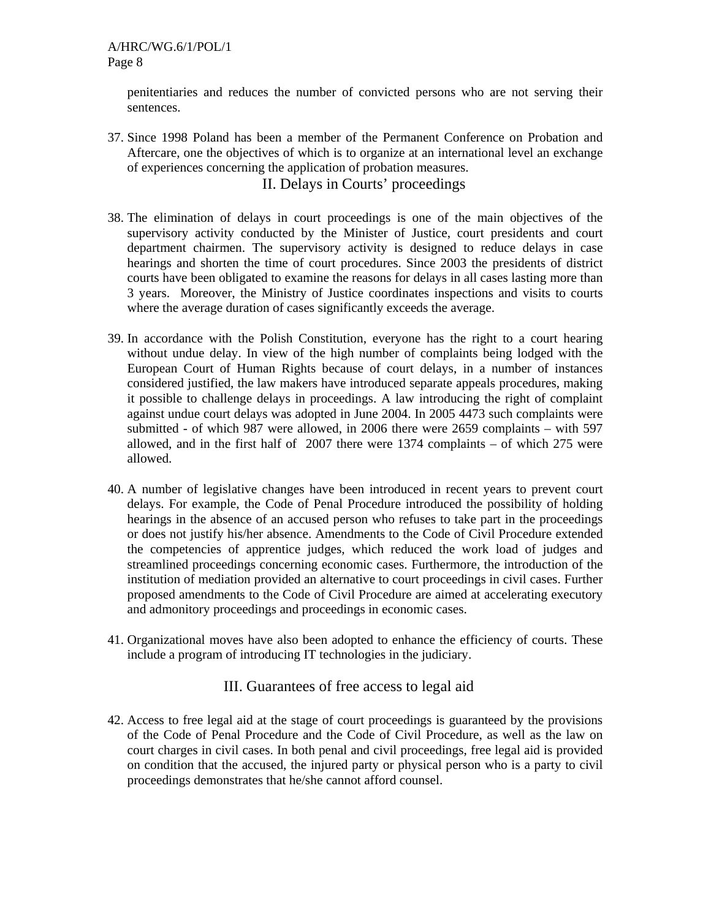penitentiaries and reduces the number of convicted persons who are not serving their sentences.

37. Since 1998 Poland has been a member of the Permanent Conference on Probation and Aftercare, one the objectives of which is to organize at an international level an exchange of experiences concerning the application of probation measures.

#### II. Delays in Courts' proceedings

- 38. The elimination of delays in court proceedings is one of the main objectives of the supervisory activity conducted by the Minister of Justice, court presidents and court department chairmen. The supervisory activity is designed to reduce delays in case hearings and shorten the time of court procedures. Since 2003 the presidents of district courts have been obligated to examine the reasons for delays in all cases lasting more than 3 years. Moreover, the Ministry of Justice coordinates inspections and visits to courts where the average duration of cases significantly exceeds the average.
- 39. In accordance with the Polish Constitution, everyone has the right to a court hearing without undue delay. In view of the high number of complaints being lodged with the European Court of Human Rights because of court delays, in a number of instances considered justified, the law makers have introduced separate appeals procedures, making it possible to challenge delays in proceedings. A law introducing the right of complaint against undue court delays was adopted in June 2004. In 2005 4473 such complaints were submitted - of which 987 were allowed, in 2006 there were 2659 complaints – with 597 allowed, and in the first half of 2007 there were 1374 complaints – of which 275 were allowed.
- 40. A number of legislative changes have been introduced in recent years to prevent court delays. For example, the Code of Penal Procedure introduced the possibility of holding hearings in the absence of an accused person who refuses to take part in the proceedings or does not justify his/her absence. Amendments to the Code of Civil Procedure extended the competencies of apprentice judges, which reduced the work load of judges and streamlined proceedings concerning economic cases. Furthermore, the introduction of the institution of mediation provided an alternative to court proceedings in civil cases. Further proposed amendments to the Code of Civil Procedure are aimed at accelerating executory and admonitory proceedings and proceedings in economic cases.
- 41. Organizational moves have also been adopted to enhance the efficiency of courts. These include a program of introducing IT technologies in the judiciary.

#### III. Guarantees of free access to legal aid

42. Access to free legal aid at the stage of court proceedings is guaranteed by the provisions of the Code of Penal Procedure and the Code of Civil Procedure, as well as the law on court charges in civil cases. In both penal and civil proceedings, free legal aid is provided on condition that the accused, the injured party or physical person who is a party to civil proceedings demonstrates that he/she cannot afford counsel.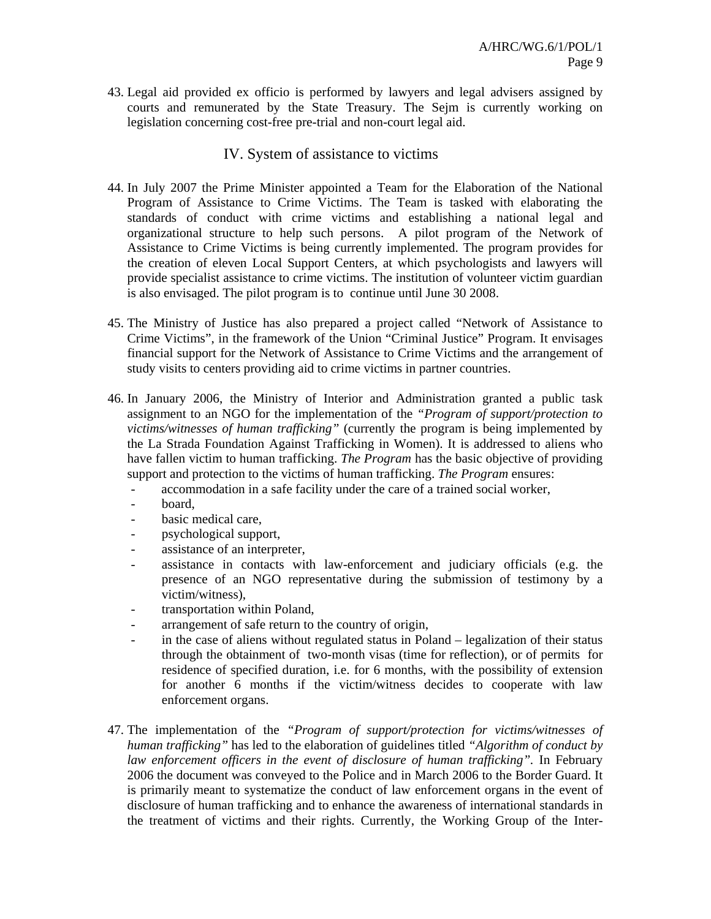43. Legal aid provided ex officio is performed by lawyers and legal advisers assigned by courts and remunerated by the State Treasury. The Sejm is currently working on legislation concerning cost-free pre-trial and non-court legal aid.

#### IV. System of assistance to victims

- 44. In July 2007 the Prime Minister appointed a Team for the Elaboration of the National Program of Assistance to Crime Victims. The Team is tasked with elaborating the standards of conduct with crime victims and establishing a national legal and organizational structure to help such persons. A pilot program of the Network of Assistance to Crime Victims is being currently implemented. The program provides for the creation of eleven Local Support Centers, at which psychologists and lawyers will provide specialist assistance to crime victims. The institution of volunteer victim guardian is also envisaged. The pilot program is to continue until June 30 2008.
- 45. The Ministry of Justice has also prepared a project called "Network of Assistance to Crime Victims", in the framework of the Union "Criminal Justice" Program. It envisages financial support for the Network of Assistance to Crime Victims and the arrangement of study visits to centers providing aid to crime victims in partner countries.
- 46. In January 2006, the Ministry of Interior and Administration granted a public task assignment to an NGO for the implementation of the *"Program of support/protection to victims/witnesses of human trafficking"* (currently the program is being implemented by the La Strada Foundation Against Trafficking in Women). It is addressed to aliens who have fallen victim to human trafficking. *The Program* has the basic objective of providing support and protection to the victims of human trafficking. *The Program* ensures:
	- accommodation in a safe facility under the care of a trained social worker,
	- board,
	- basic medical care,
	- psychological support,
	- assistance of an interpreter,
	- assistance in contacts with law-enforcement and judiciary officials (e.g. the presence of an NGO representative during the submission of testimony by a victim/witness),
	- transportation within Poland,
	- arrangement of safe return to the country of origin,
	- in the case of aliens without regulated status in Poland legalization of their status through the obtainment of two-month visas (time for reflection), or of permits for residence of specified duration, i.e. for 6 months, with the possibility of extension for another 6 months if the victim/witness decides to cooperate with law enforcement organs.
- 47. The implementation of the *"Program of support/protection for victims/witnesses of human trafficking"* has led to the elaboration of guidelines titled *"Algorithm of conduct by law enforcement officers in the event of disclosure of human trafficking".* In February 2006 the document was conveyed to the Police and in March 2006 to the Border Guard. It is primarily meant to systematize the conduct of law enforcement organs in the event of disclosure of human trafficking and to enhance the awareness of international standards in the treatment of victims and their rights. Currently, the Working Group of the Inter-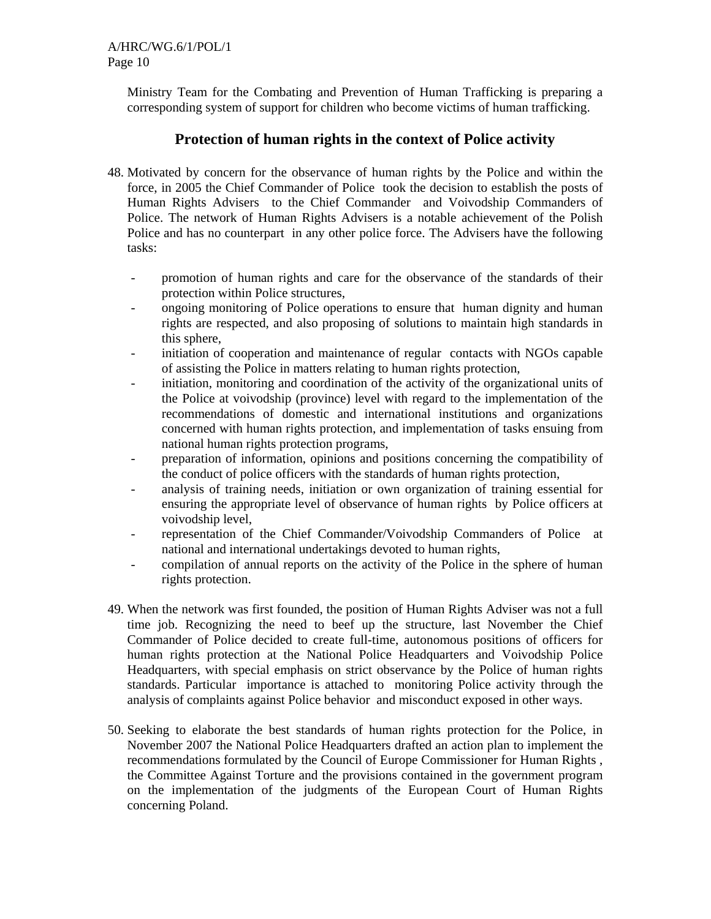Ministry Team for the Combating and Prevention of Human Trafficking is preparing a corresponding system of support for children who become victims of human trafficking.

## **Protection of human rights in the context of Police activity**

- 48. Motivated by concern for the observance of human rights by the Police and within the force, in 2005 the Chief Commander of Police took the decision to establish the posts of Human Rights Advisers to the Chief Commander and Voivodship Commanders of Police. The network of Human Rights Advisers is a notable achievement of the Polish Police and has no counterpart in any other police force. The Advisers have the following tasks:
	- promotion of human rights and care for the observance of the standards of their protection within Police structures,
	- ongoing monitoring of Police operations to ensure that human dignity and human rights are respected, and also proposing of solutions to maintain high standards in this sphere,
	- initiation of cooperation and maintenance of regular contacts with NGOs capable of assisting the Police in matters relating to human rights protection,
	- initiation, monitoring and coordination of the activity of the organizational units of the Police at voivodship (province) level with regard to the implementation of the recommendations of domestic and international institutions and organizations concerned with human rights protection, and implementation of tasks ensuing from national human rights protection programs,
	- preparation of information, opinions and positions concerning the compatibility of the conduct of police officers with the standards of human rights protection,
	- analysis of training needs, initiation or own organization of training essential for ensuring the appropriate level of observance of human rights by Police officers at voivodship level,
	- representation of the Chief Commander/Voivodship Commanders of Police at national and international undertakings devoted to human rights,
	- compilation of annual reports on the activity of the Police in the sphere of human rights protection.
- 49. When the network was first founded, the position of Human Rights Adviser was not a full time job. Recognizing the need to beef up the structure, last November the Chief Commander of Police decided to create full-time, autonomous positions of officers for human rights protection at the National Police Headquarters and Voivodship Police Headquarters, with special emphasis on strict observance by the Police of human rights standards. Particular importance is attached to monitoring Police activity through the analysis of complaints against Police behavior and misconduct exposed in other ways.
- 50. Seeking to elaborate the best standards of human rights protection for the Police, in November 2007 the National Police Headquarters drafted an action plan to implement the recommendations formulated by the Council of Europe Commissioner for Human Rights , the Committee Against Torture and the provisions contained in the government program on the implementation of the judgments of the European Court of Human Rights concerning Poland.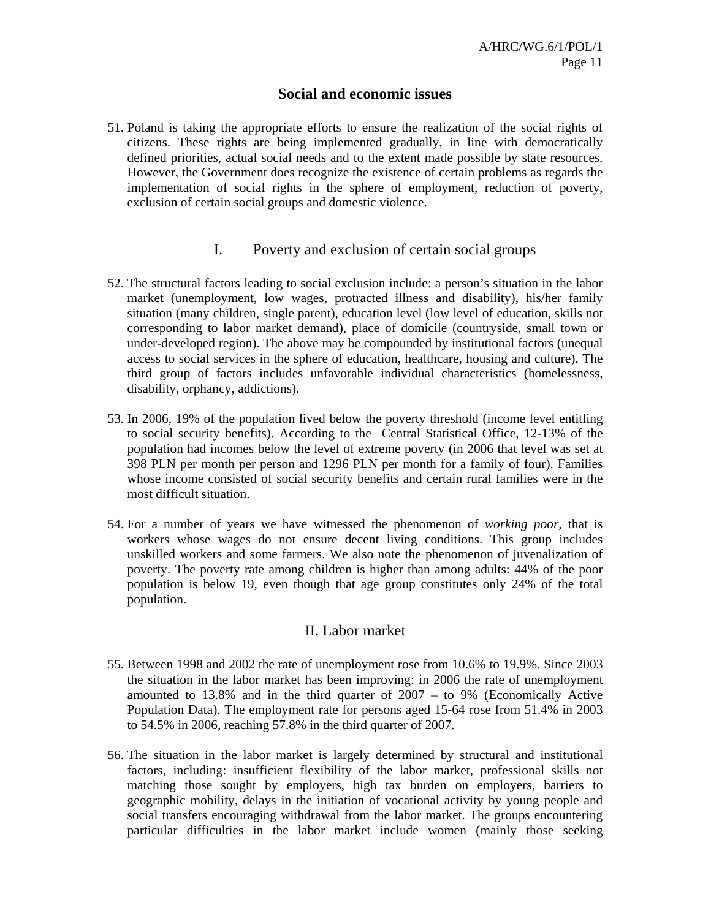#### **Social and economic issues**

51. Poland is taking the appropriate efforts to ensure the realization of the social rights of citizens. These rights are being implemented gradually, in line with democratically defined priorities, actual social needs and to the extent made possible by state resources. However, the Government does recognize the existence of certain problems as regards the implementation of social rights in the sphere of employment, reduction of poverty, exclusion of certain social groups and domestic violence.

#### I. Poverty and exclusion of certain social groups

- 52. The structural factors leading to social exclusion include: a person's situation in the labor market (unemployment, low wages, protracted illness and disability), his/her family situation (many children, single parent), education level (low level of education, skills not corresponding to labor market demand), place of domicile (countryside, small town or under-developed region). The above may be compounded by institutional factors (unequal access to social services in the sphere of education, healthcare, housing and culture). The third group of factors includes unfavorable individual characteristics (homelessness, disability, orphancy, addictions).
- 53. In 2006, 19% of the population lived below the poverty threshold (income level entitling to social security benefits). According to the Central Statistical Office, 12-13% of the population had incomes below the level of extreme poverty (in 2006 that level was set at 398 PLN per month per person and 1296 PLN per month for a family of four). Families whose income consisted of social security benefits and certain rural families were in the most difficult situation.
- 54. For a number of years we have witnessed the phenomenon of *working poor,* that is workers whose wages do not ensure decent living conditions. This group includes unskilled workers and some farmers. We also note the phenomenon of juvenalization of poverty. The poverty rate among children is higher than among adults: 44% of the poor population is below 19, even though that age group constitutes only 24% of the total population.

#### II. Labor market

- 55. Between 1998 and 2002 the rate of unemployment rose from 10.6% to 19.9%. Since 2003 the situation in the labor market has been improving: in 2006 the rate of unemployment amounted to 13.8% and in the third quarter of 2007 – to 9% (Economically Active Population Data). The employment rate for persons aged 15-64 rose from 51.4% in 2003 to 54.5% in 2006, reaching 57.8% in the third quarter of 2007.
- 56. The situation in the labor market is largely determined by structural and institutional factors, including: insufficient flexibility of the labor market, professional skills not matching those sought by employers, high tax burden on employers, barriers to geographic mobility, delays in the initiation of vocational activity by young people and social transfers encouraging withdrawal from the labor market. The groups encountering particular difficulties in the labor market include women (mainly those seeking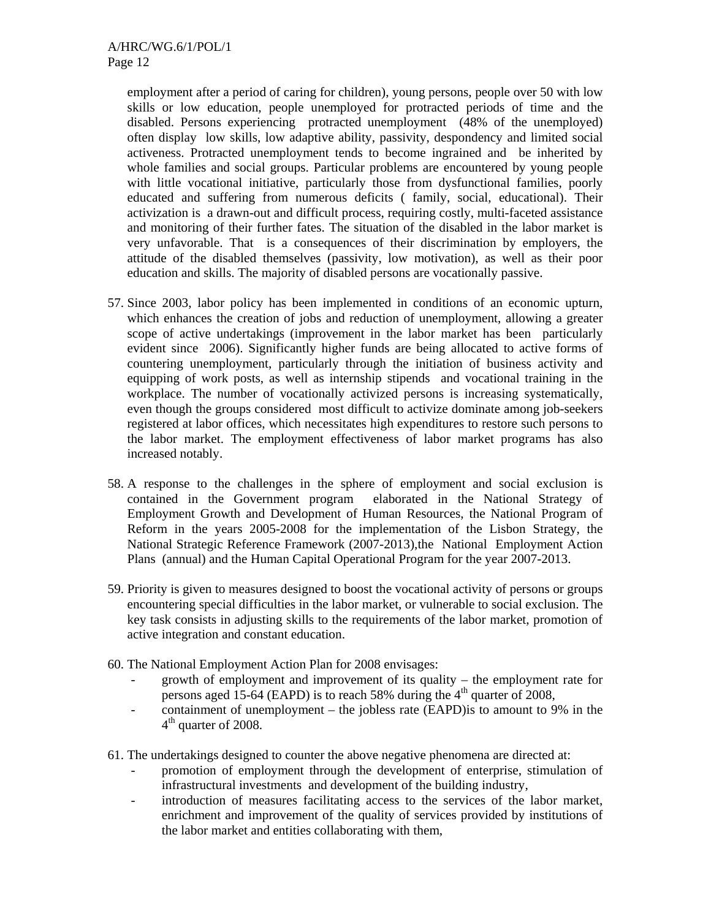employment after a period of caring for children), young persons, people over 50 with low skills or low education, people unemployed for protracted periods of time and the disabled. Persons experiencing protracted unemployment (48% of the unemployed) often display low skills, low adaptive ability, passivity, despondency and limited social activeness. Protracted unemployment tends to become ingrained and be inherited by whole families and social groups. Particular problems are encountered by young people with little vocational initiative, particularly those from dysfunctional families, poorly educated and suffering from numerous deficits ( family, social, educational). Their activization is a drawn-out and difficult process, requiring costly, multi-faceted assistance and monitoring of their further fates. The situation of the disabled in the labor market is very unfavorable. That is a consequences of their discrimination by employers, the attitude of the disabled themselves (passivity, low motivation), as well as their poor education and skills. The majority of disabled persons are vocationally passive.

- 57. Since 2003, labor policy has been implemented in conditions of an economic upturn, which enhances the creation of jobs and reduction of unemployment, allowing a greater scope of active undertakings (improvement in the labor market has been particularly evident since 2006). Significantly higher funds are being allocated to active forms of countering unemployment, particularly through the initiation of business activity and equipping of work posts, as well as internship stipends and vocational training in the workplace. The number of vocationally activized persons is increasing systematically, even though the groups considered most difficult to activize dominate among job-seekers registered at labor offices, which necessitates high expenditures to restore such persons to the labor market. The employment effectiveness of labor market programs has also increased notably.
- 58. A response to the challenges in the sphere of employment and social exclusion is contained in the Government program elaborated in the National Strategy of Employment Growth and Development of Human Resources, the National Program of Reform in the years 2005-2008 for the implementation of the Lisbon Strategy, the National Strategic Reference Framework (2007-2013),the National Employment Action Plans (annual) and the Human Capital Operational Program for the year 2007-2013.
- 59. Priority is given to measures designed to boost the vocational activity of persons or groups encountering special difficulties in the labor market, or vulnerable to social exclusion. The key task consists in adjusting skills to the requirements of the labor market, promotion of active integration and constant education.
- 60. The National Employment Action Plan for 2008 envisages:
	- growth of employment and improvement of its quality the employment rate for persons aged 15-64 (EAPD) is to reach 58% during the  $4<sup>th</sup>$  quarter of 2008,
	- containment of unemployment the jobless rate (EAPD)is to amount to 9% in the 4<sup>th</sup> quarter of 2008.
- 61. The undertakings designed to counter the above negative phenomena are directed at:
	- promotion of employment through the development of enterprise, stimulation of infrastructural investments and development of the building industry,
	- introduction of measures facilitating access to the services of the labor market, enrichment and improvement of the quality of services provided by institutions of the labor market and entities collaborating with them,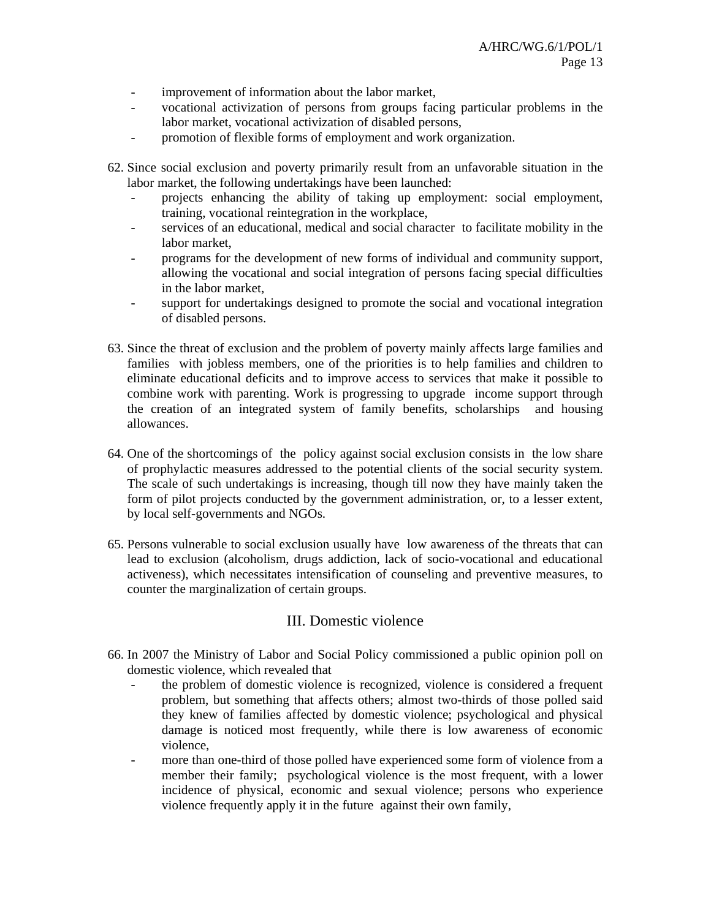- improvement of information about the labor market,
- vocational activization of persons from groups facing particular problems in the labor market, vocational activization of disabled persons,
- promotion of flexible forms of employment and work organization.
- 62. Since social exclusion and poverty primarily result from an unfavorable situation in the labor market, the following undertakings have been launched:
	- projects enhancing the ability of taking up employment: social employment, training, vocational reintegration in the workplace,
	- services of an educational, medical and social character to facilitate mobility in the labor market,
	- programs for the development of new forms of individual and community support, allowing the vocational and social integration of persons facing special difficulties in the labor market,
	- support for undertakings designed to promote the social and vocational integration of disabled persons.
- 63. Since the threat of exclusion and the problem of poverty mainly affects large families and families with jobless members, one of the priorities is to help families and children to eliminate educational deficits and to improve access to services that make it possible to combine work with parenting. Work is progressing to upgrade income support through the creation of an integrated system of family benefits, scholarships and housing allowances.
- 64. One of the shortcomings of the policy against social exclusion consists in the low share of prophylactic measures addressed to the potential clients of the social security system. The scale of such undertakings is increasing, though till now they have mainly taken the form of pilot projects conducted by the government administration, or, to a lesser extent, by local self-governments and NGOs.
- 65. Persons vulnerable to social exclusion usually have low awareness of the threats that can lead to exclusion (alcoholism, drugs addiction, lack of socio-vocational and educational activeness), which necessitates intensification of counseling and preventive measures, to counter the marginalization of certain groups.

## III. Domestic violence

- 66. In 2007 the Ministry of Labor and Social Policy commissioned a public opinion poll on domestic violence, which revealed that
	- the problem of domestic violence is recognized, violence is considered a frequent problem, but something that affects others; almost two-thirds of those polled said they knew of families affected by domestic violence; psychological and physical damage is noticed most frequently, while there is low awareness of economic violence,
	- more than one-third of those polled have experienced some form of violence from a member their family; psychological violence is the most frequent, with a lower incidence of physical, economic and sexual violence; persons who experience violence frequently apply it in the future against their own family,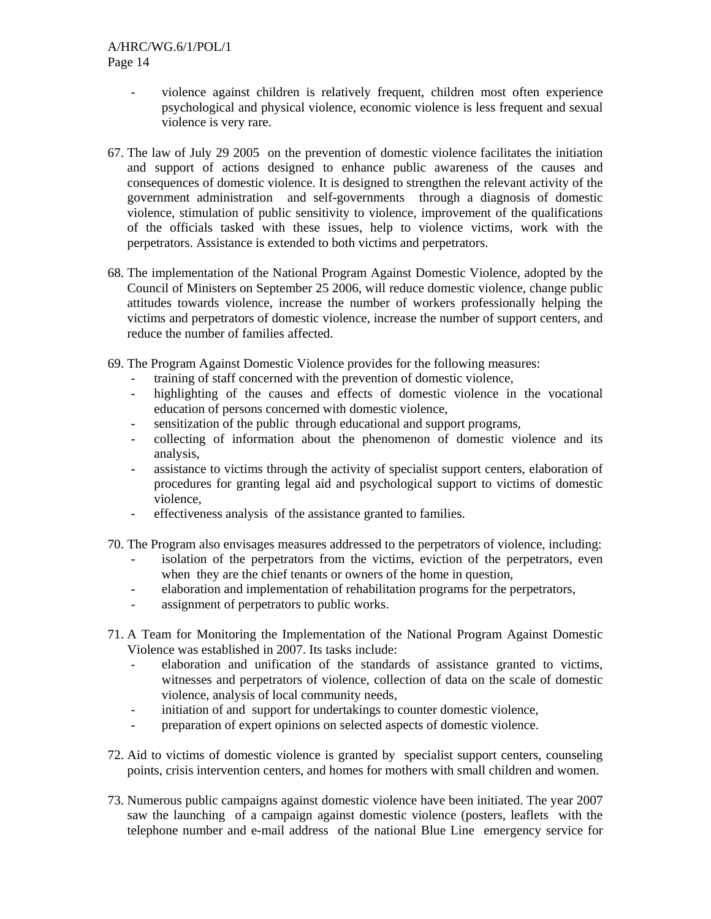- violence against children is relatively frequent, children most often experience psychological and physical violence, economic violence is less frequent and sexual violence is very rare.
- 67. The law of July 29 2005 on the prevention of domestic violence facilitates the initiation and support of actions designed to enhance public awareness of the causes and consequences of domestic violence. It is designed to strengthen the relevant activity of the government administration and self-governments through a diagnosis of domestic violence, stimulation of public sensitivity to violence, improvement of the qualifications of the officials tasked with these issues, help to violence victims, work with the perpetrators. Assistance is extended to both victims and perpetrators.
- 68. The implementation of the National Program Against Domestic Violence, adopted by the Council of Ministers on September 25 2006, will reduce domestic violence, change public attitudes towards violence, increase the number of workers professionally helping the victims and perpetrators of domestic violence, increase the number of support centers, and reduce the number of families affected.
- 69. The Program Against Domestic Violence provides for the following measures:
	- training of staff concerned with the prevention of domestic violence,
	- highlighting of the causes and effects of domestic violence in the vocational education of persons concerned with domestic violence,
	- sensitization of the public through educational and support programs,
	- collecting of information about the phenomenon of domestic violence and its analysis,
	- assistance to victims through the activity of specialist support centers, elaboration of procedures for granting legal aid and psychological support to victims of domestic violence,
	- effectiveness analysis of the assistance granted to families.
- 70. The Program also envisages measures addressed to the perpetrators of violence, including:
	- isolation of the perpetrators from the victims, eviction of the perpetrators, even when they are the chief tenants or owners of the home in question,
	- elaboration and implementation of rehabilitation programs for the perpetrators,
	- assignment of perpetrators to public works.
- 71. A Team for Monitoring the Implementation of the National Program Against Domestic Violence was established in 2007. Its tasks include:
	- elaboration and unification of the standards of assistance granted to victims, witnesses and perpetrators of violence, collection of data on the scale of domestic violence, analysis of local community needs,
	- initiation of and support for undertakings to counter domestic violence,
	- preparation of expert opinions on selected aspects of domestic violence.
- 72. Aid to victims of domestic violence is granted by specialist support centers, counseling points, crisis intervention centers, and homes for mothers with small children and women.
- 73. Numerous public campaigns against domestic violence have been initiated. The year 2007 saw the launching of a campaign against domestic violence (posters, leaflets with the telephone number and e-mail address of the national Blue Line emergency service for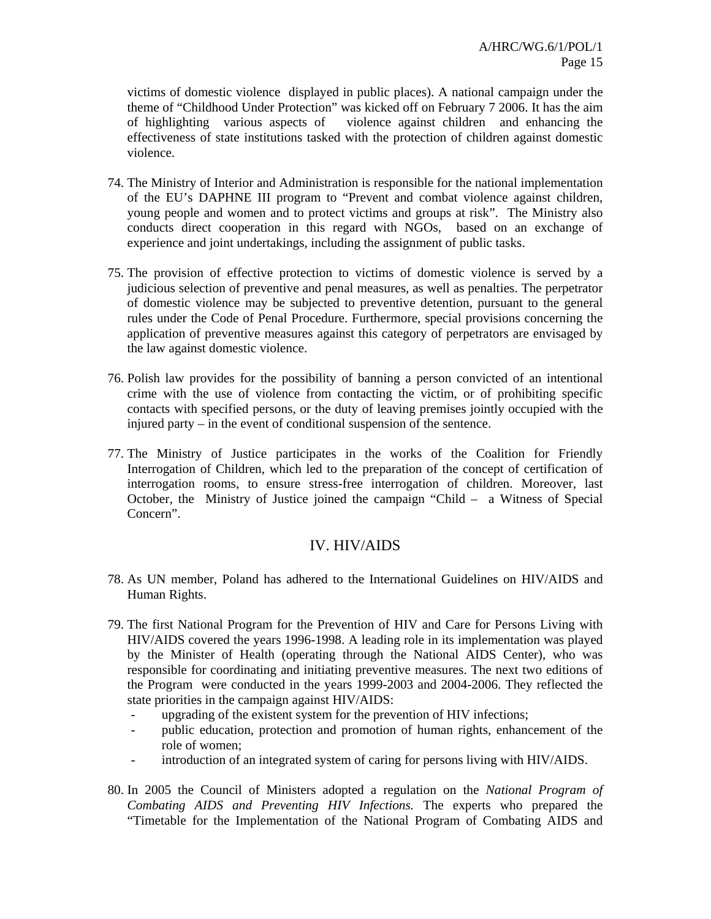victims of domestic violence displayed in public places). A national campaign under the theme of "Childhood Under Protection" was kicked off on February 7 2006. It has the aim of highlighting various aspects of violence against children and enhancing the effectiveness of state institutions tasked with the protection of children against domestic violence.

- 74. The Ministry of Interior and Administration is responsible for the national implementation of the EU's DAPHNE III program to "Prevent and combat violence against children, young people and women and to protect victims and groups at risk". The Ministry also conducts direct cooperation in this regard with NGOs, based on an exchange of experience and joint undertakings, including the assignment of public tasks.
- 75. The provision of effective protection to victims of domestic violence is served by a judicious selection of preventive and penal measures, as well as penalties. The perpetrator of domestic violence may be subjected to preventive detention, pursuant to the general rules under the Code of Penal Procedure. Furthermore, special provisions concerning the application of preventive measures against this category of perpetrators are envisaged by the law against domestic violence.
- 76. Polish law provides for the possibility of banning a person convicted of an intentional crime with the use of violence from contacting the victim, or of prohibiting specific contacts with specified persons, or the duty of leaving premises jointly occupied with the injured party – in the event of conditional suspension of the sentence.
- 77. The Ministry of Justice participates in the works of the Coalition for Friendly Interrogation of Children, which led to the preparation of the concept of certification of interrogation rooms, to ensure stress-free interrogation of children. Moreover, last October, the Ministry of Justice joined the campaign "Child – a Witness of Special Concern".

## IV. HIV/AIDS

- 78. As UN member, Poland has adhered to the International Guidelines on HIV/AIDS and Human Rights.
- 79. The first National Program for the Prevention of HIV and Care for Persons Living with HIV/AIDS covered the years 1996-1998. A leading role in its implementation was played by the Minister of Health (operating through the National AIDS Center), who was responsible for coordinating and initiating preventive measures. The next two editions of the Program were conducted in the years 1999-2003 and 2004-2006. They reflected the state priorities in the campaign against HIV/AIDS:
	- upgrading of the existent system for the prevention of HIV infections;
	- public education, protection and promotion of human rights, enhancement of the role of women;
	- introduction of an integrated system of caring for persons living with HIV/AIDS.
- 80. In 2005 the Council of Ministers adopted a regulation on the *National Program of Combating AIDS and Preventing HIV Infections.* The experts who prepared the "Timetable for the Implementation of the National Program of Combating AIDS and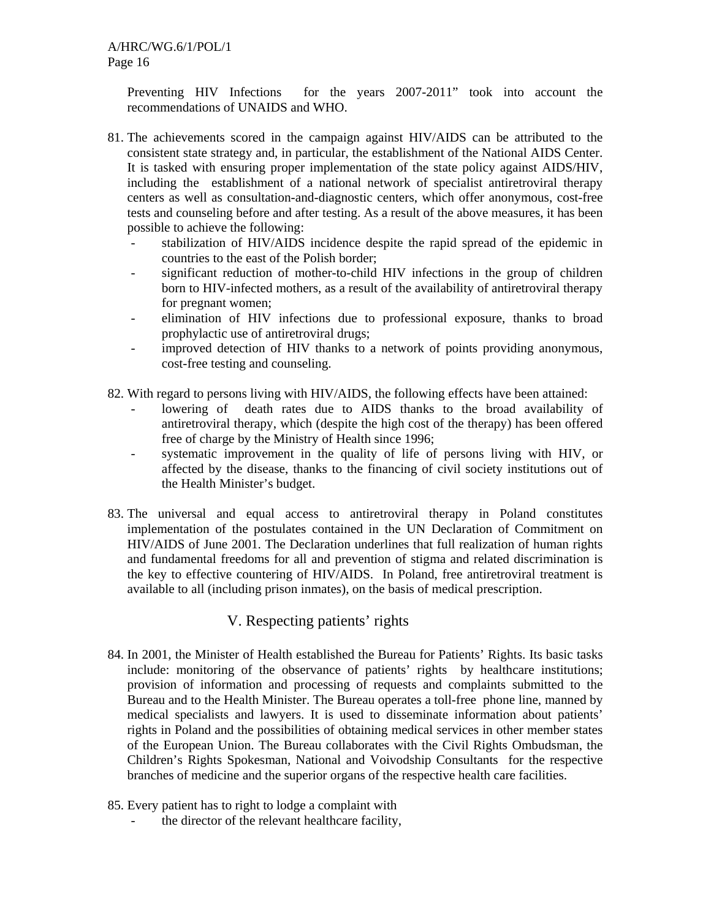Preventing HIV Infections for the years 2007-2011" took into account the recommendations of UNAIDS and WHO.

- 81. The achievements scored in the campaign against HIV/AIDS can be attributed to the consistent state strategy and, in particular, the establishment of the National AIDS Center. It is tasked with ensuring proper implementation of the state policy against AIDS/HIV, including the establishment of a national network of specialist antiretroviral therapy centers as well as consultation-and-diagnostic centers, which offer anonymous, cost-free tests and counseling before and after testing. As a result of the above measures, it has been possible to achieve the following:
	- stabilization of HIV/AIDS incidence despite the rapid spread of the epidemic in countries to the east of the Polish border;
	- significant reduction of mother-to-child HIV infections in the group of children born to HIV-infected mothers, as a result of the availability of antiretroviral therapy for pregnant women;
	- elimination of HIV infections due to professional exposure, thanks to broad prophylactic use of antiretroviral drugs;
	- improved detection of HIV thanks to a network of points providing anonymous, cost-free testing and counseling.
- 82. With regard to persons living with HIV/AIDS, the following effects have been attained:
	- lowering of death rates due to AIDS thanks to the broad availability of antiretroviral therapy, which (despite the high cost of the therapy) has been offered free of charge by the Ministry of Health since 1996;
	- systematic improvement in the quality of life of persons living with HIV, or affected by the disease, thanks to the financing of civil society institutions out of the Health Minister's budget.
- 83. The universal and equal access to antiretroviral therapy in Poland constitutes implementation of the postulates contained in the UN Declaration of Commitment on HIV/AIDS of June 2001. The Declaration underlines that full realization of human rights and fundamental freedoms for all and prevention of stigma and related discrimination is the key to effective countering of HIV/AIDS. In Poland, free antiretroviral treatment is available to all (including prison inmates), on the basis of medical prescription.

## V. Respecting patients' rights

- 84. In 2001, the Minister of Health established the Bureau for Patients' Rights. Its basic tasks include: monitoring of the observance of patients' rights by healthcare institutions; provision of information and processing of requests and complaints submitted to the Bureau and to the Health Minister. The Bureau operates a toll-free phone line, manned by medical specialists and lawyers. It is used to disseminate information about patients' rights in Poland and the possibilities of obtaining medical services in other member states of the European Union. The Bureau collaborates with the Civil Rights Ombudsman, the Children's Rights Spokesman, National and Voivodship Consultants for the respective branches of medicine and the superior organs of the respective health care facilities.
- 85. Every patient has to right to lodge a complaint with
	- the director of the relevant healthcare facility,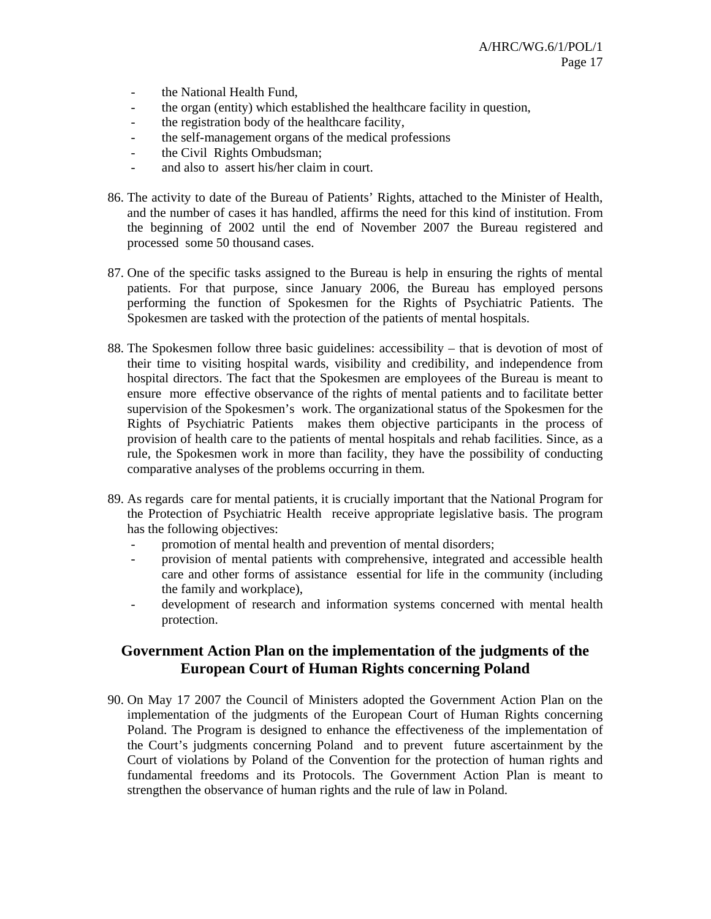- the National Health Fund,
- the organ (entity) which established the healthcare facility in question,
- the registration body of the healthcare facility,
- the self-management organs of the medical professions
- the Civil Rights Ombudsman;
- and also to assert his/her claim in court.
- 86. The activity to date of the Bureau of Patients' Rights, attached to the Minister of Health, and the number of cases it has handled, affirms the need for this kind of institution. From the beginning of 2002 until the end of November 2007 the Bureau registered and processed some 50 thousand cases.
- 87. One of the specific tasks assigned to the Bureau is help in ensuring the rights of mental patients. For that purpose, since January 2006, the Bureau has employed persons performing the function of Spokesmen for the Rights of Psychiatric Patients. The Spokesmen are tasked with the protection of the patients of mental hospitals.
- 88. The Spokesmen follow three basic guidelines: accessibility that is devotion of most of their time to visiting hospital wards, visibility and credibility, and independence from hospital directors. The fact that the Spokesmen are employees of the Bureau is meant to ensure more effective observance of the rights of mental patients and to facilitate better supervision of the Spokesmen's work. The organizational status of the Spokesmen for the Rights of Psychiatric Patients makes them objective participants in the process of provision of health care to the patients of mental hospitals and rehab facilities. Since, as a rule, the Spokesmen work in more than facility, they have the possibility of conducting comparative analyses of the problems occurring in them.
- 89. As regards care for mental patients, it is crucially important that the National Program for the Protection of Psychiatric Health receive appropriate legislative basis. The program has the following objectives:
	- promotion of mental health and prevention of mental disorders;
	- provision of mental patients with comprehensive, integrated and accessible health care and other forms of assistance essential for life in the community (including the family and workplace),
	- development of research and information systems concerned with mental health protection.

## **Government Action Plan on the implementation of the judgments of the European Court of Human Rights concerning Poland**

90. On May 17 2007 the Council of Ministers adopted the Government Action Plan on the implementation of the judgments of the European Court of Human Rights concerning Poland. The Program is designed to enhance the effectiveness of the implementation of the Court's judgments concerning Poland and to prevent future ascertainment by the Court of violations by Poland of the Convention for the protection of human rights and fundamental freedoms and its Protocols. The Government Action Plan is meant to strengthen the observance of human rights and the rule of law in Poland.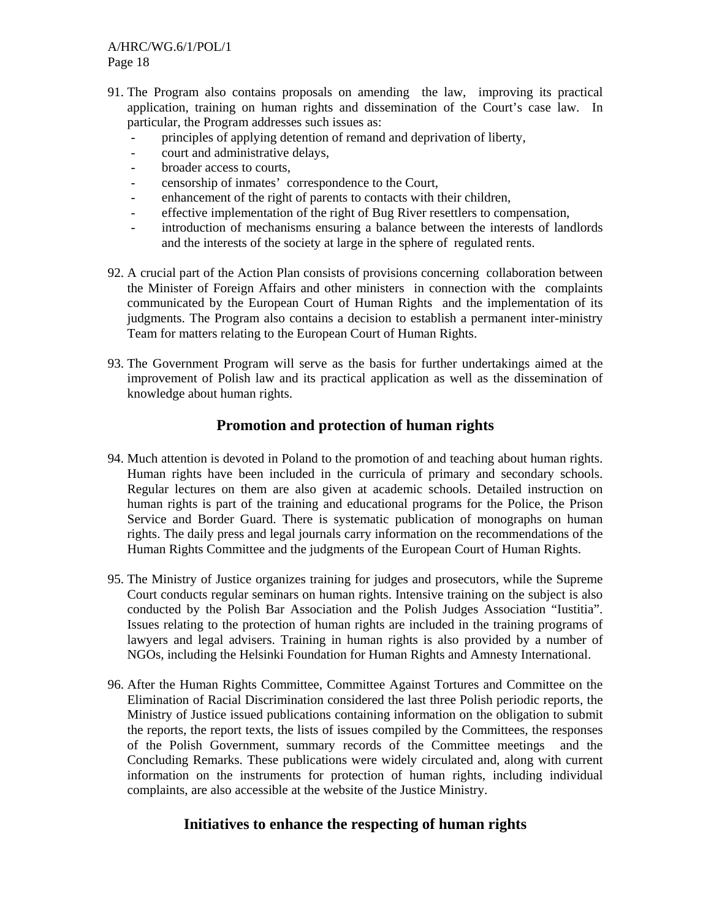- 91. The Program also contains proposals on amending the law, improving its practical application, training on human rights and dissemination of the Court's case law. In particular, the Program addresses such issues as:
	- principles of applying detention of remand and deprivation of liberty,
	- court and administrative delays,
	- broader access to courts,
	- censorship of inmates' correspondence to the Court,
	- enhancement of the right of parents to contacts with their children,
	- effective implementation of the right of Bug River resettlers to compensation,
	- introduction of mechanisms ensuring a balance between the interests of landlords and the interests of the society at large in the sphere of regulated rents.
- 92. A crucial part of the Action Plan consists of provisions concerning collaboration between the Minister of Foreign Affairs and other ministers in connection with the complaints communicated by the European Court of Human Rights and the implementation of its judgments. The Program also contains a decision to establish a permanent inter-ministry Team for matters relating to the European Court of Human Rights.
- 93. The Government Program will serve as the basis for further undertakings aimed at the improvement of Polish law and its practical application as well as the dissemination of knowledge about human rights.

#### **Promotion and protection of human rights**

- 94. Much attention is devoted in Poland to the promotion of and teaching about human rights. Human rights have been included in the curricula of primary and secondary schools. Regular lectures on them are also given at academic schools. Detailed instruction on human rights is part of the training and educational programs for the Police, the Prison Service and Border Guard. There is systematic publication of monographs on human rights. The daily press and legal journals carry information on the recommendations of the Human Rights Committee and the judgments of the European Court of Human Rights.
- 95. The Ministry of Justice organizes training for judges and prosecutors, while the Supreme Court conducts regular seminars on human rights. Intensive training on the subject is also conducted by the Polish Bar Association and the Polish Judges Association "Iustitia". Issues relating to the protection of human rights are included in the training programs of lawyers and legal advisers. Training in human rights is also provided by a number of NGOs, including the Helsinki Foundation for Human Rights and Amnesty International.
- 96. After the Human Rights Committee, Committee Against Tortures and Committee on the Elimination of Racial Discrimination considered the last three Polish periodic reports, the Ministry of Justice issued publications containing information on the obligation to submit the reports, the report texts, the lists of issues compiled by the Committees, the responses of the Polish Government, summary records of the Committee meetings and the Concluding Remarks. These publications were widely circulated and, along with current information on the instruments for protection of human rights, including individual complaints, are also accessible at the website of the Justice Ministry.

## **Initiatives to enhance the respecting of human rights**